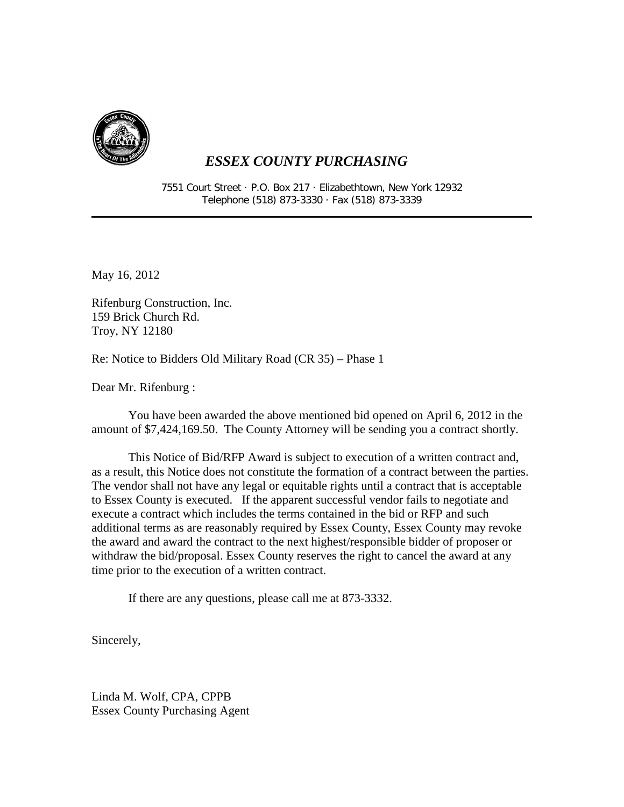

7551 Court Street · P.O. Box 217 · Elizabethtown, New York 12932 Telephone (518) 873-3330 · Fax (518) 873-3339

May 16, 2012

Rifenburg Construction, Inc. 159 Brick Church Rd. Troy, NY 12180

Re: Notice to Bidders Old Military Road (CR 35) – Phase 1

Dear Mr. Rifenburg :

You have been awarded the above mentioned bid opened on April 6, 2012 in the amount of \$7,424,169.50. The County Attorney will be sending you a contract shortly.

This Notice of Bid/RFP Award is subject to execution of a written contract and, as a result, this Notice does not constitute the formation of a contract between the parties. The vendor shall not have any legal or equitable rights until a contract that is acceptable to Essex County is executed. If the apparent successful vendor fails to negotiate and execute a contract which includes the terms contained in the bid or RFP and such additional terms as are reasonably required by Essex County, Essex County may revoke the award and award the contract to the next highest/responsible bidder of proposer or withdraw the bid/proposal. Essex County reserves the right to cancel the award at any time prior to the execution of a written contract.

If there are any questions, please call me at 873-3332.

Sincerely,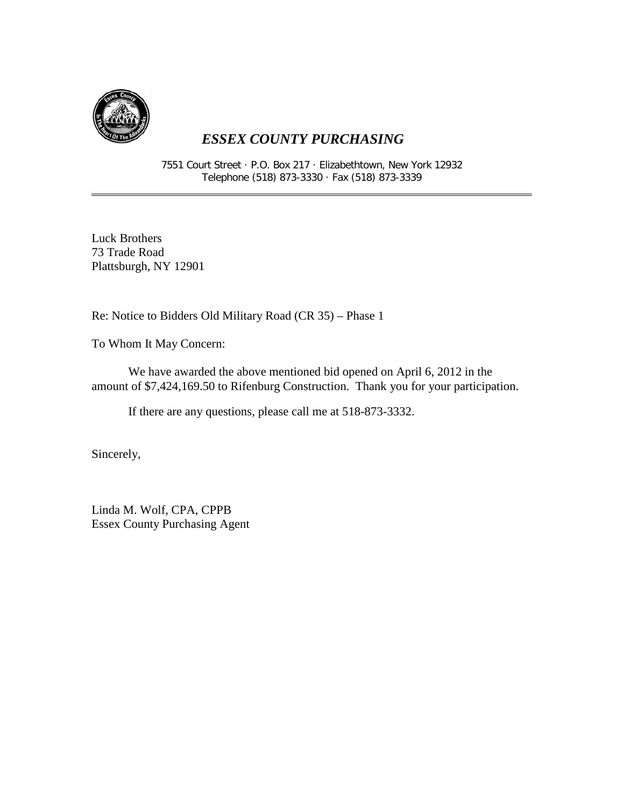

7551 Court Street · P.O. Box 217 · Elizabethtown, New York 12932 Telephone (518) 873-3330 · Fax (518) 873-3339

Luck Brothers 73 Trade Road Plattsburgh, NY 12901

Re: Notice to Bidders Old Military Road (CR 35) – Phase 1

To Whom It May Concern:

We have awarded the above mentioned bid opened on April 6, 2012 in the amount of \$7,424,169.50 to Rifenburg Construction. Thank you for your participation.

If there are any questions, please call me at 518-873-3332.

Sincerely,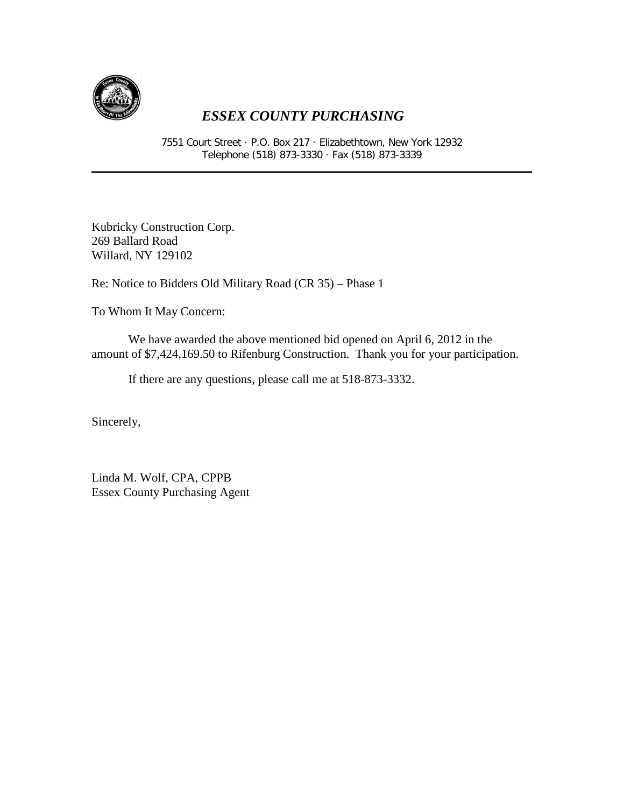

7551 Court Street · P.O. Box 217 · Elizabethtown, New York 12932 Telephone (518) 873-3330 · Fax (518) 873-3339

Kubricky Construction Corp. 269 Ballard Road Willard, NY 129102

Re: Notice to Bidders Old Military Road (CR 35) – Phase 1

To Whom It May Concern:

We have awarded the above mentioned bid opened on April 6, 2012 in the amount of \$7,424,169.50 to Rifenburg Construction. Thank you for your participation.

If there are any questions, please call me at 518-873-3332.

Sincerely,